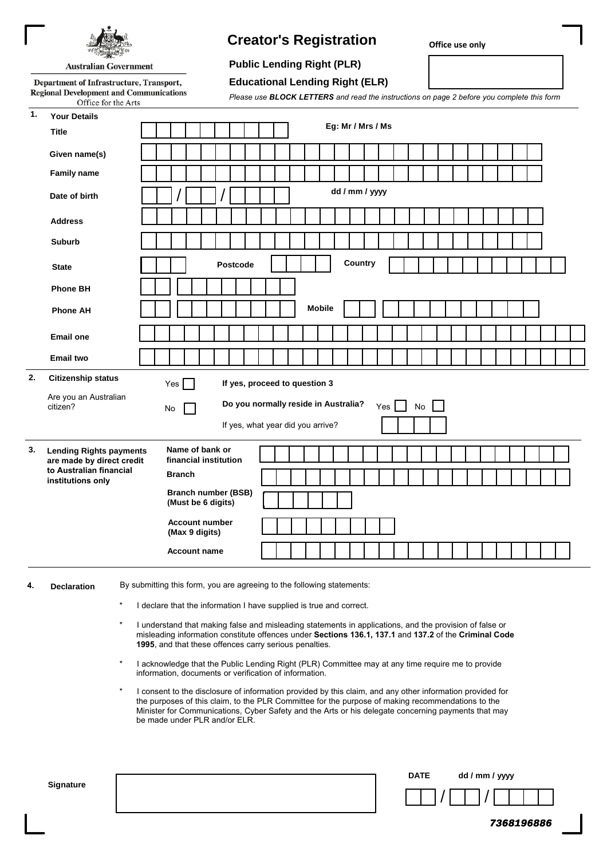

# **Creator's Registration**

**Office use only**

**7368196886**

## **Public Lending Right (PLR)**

**Australian Government** 

Department of Infrastructure, Transport, **Regional Development and Communications** Office for the Arts

**Educational Lending Right (ELR)**

| Please use <b>BLOCK LETTERS</b> and read the instructions on page 2 before you complete this form |  |  |  |  |  |  |
|---------------------------------------------------------------------------------------------------|--|--|--|--|--|--|

| 1.                                                                                           | <b>Your Details</b>                                       |                                                                                         |  |  |  |  |  |  |  |  |  |
|----------------------------------------------------------------------------------------------|-----------------------------------------------------------|-----------------------------------------------------------------------------------------|--|--|--|--|--|--|--|--|--|
|                                                                                              | <b>Title</b>                                              | Eg: Mr / Mrs / Ms                                                                       |  |  |  |  |  |  |  |  |  |
|                                                                                              | Given name(s)                                             |                                                                                         |  |  |  |  |  |  |  |  |  |
|                                                                                              | <b>Family name</b>                                        |                                                                                         |  |  |  |  |  |  |  |  |  |
|                                                                                              | Date of birth                                             | dd / mm / yyyy                                                                          |  |  |  |  |  |  |  |  |  |
|                                                                                              | <b>Address</b>                                            |                                                                                         |  |  |  |  |  |  |  |  |  |
|                                                                                              | <b>Suburb</b>                                             |                                                                                         |  |  |  |  |  |  |  |  |  |
|                                                                                              | <b>State</b>                                              | Country<br>Postcode                                                                     |  |  |  |  |  |  |  |  |  |
|                                                                                              | <b>Phone BH</b>                                           |                                                                                         |  |  |  |  |  |  |  |  |  |
|                                                                                              | <b>Phone AH</b>                                           | <b>Mobile</b>                                                                           |  |  |  |  |  |  |  |  |  |
|                                                                                              | <b>Email one</b>                                          |                                                                                         |  |  |  |  |  |  |  |  |  |
|                                                                                              | <b>Email two</b>                                          |                                                                                         |  |  |  |  |  |  |  |  |  |
| 2.                                                                                           | <b>Citizenship status</b>                                 | If yes, proceed to question 3<br>$Yes \vert$                                            |  |  |  |  |  |  |  |  |  |
|                                                                                              | Are you an Australian<br>citizen?                         | Do you normally reside in Australia?<br>$Yes$    <br>$\operatorname{\mathsf{No}}$<br>No |  |  |  |  |  |  |  |  |  |
|                                                                                              |                                                           | If yes, what year did you arrive?                                                       |  |  |  |  |  |  |  |  |  |
| 3.<br><b>Lending Rights payments</b><br>are made by direct credit<br>to Australian financial | Name of bank or<br>financial institution<br><b>Branch</b> |                                                                                         |  |  |  |  |  |  |  |  |  |
|                                                                                              | institutions only                                         | <b>Branch number (BSB)</b>                                                              |  |  |  |  |  |  |  |  |  |
|                                                                                              |                                                           | (Must be 6 digits)                                                                      |  |  |  |  |  |  |  |  |  |
|                                                                                              |                                                           | <b>Account number</b><br>(Max 9 digits)                                                 |  |  |  |  |  |  |  |  |  |
|                                                                                              |                                                           | <b>Account name</b>                                                                     |  |  |  |  |  |  |  |  |  |
| 4.                                                                                           | <b>Declaration</b>                                        | By submitting this form, you are agreeing to the following statements:                  |  |  |  |  |  |  |  |  |  |

- I declare that the information I have supplied is true and correct.
- I understand that making false and misleading statements in applications, and the provision of false or misleading information constitute offences under **Sections 136.1, 137.1** and **137.2** of the **Criminal Code 1995**, and that these offences carry serious penalties.
- I acknowledge that the Public Lending Right (PLR) Committee may at any time require me to provide information, documents or verification of information.
- I consent to the disclosure of information provided by this claim, and any other information provided for the purposes of this claim, to the PLR Committee for the purpose of making recommendations to the Minister for Communications, Cyber Safety and the Arts or his delegate concerning payments that may be made under PLR and/or ELR.

| Signature | <b>DATE</b> | dd / mm / yyyy |  |
|-----------|-------------|----------------|--|
|           |             |                |  |